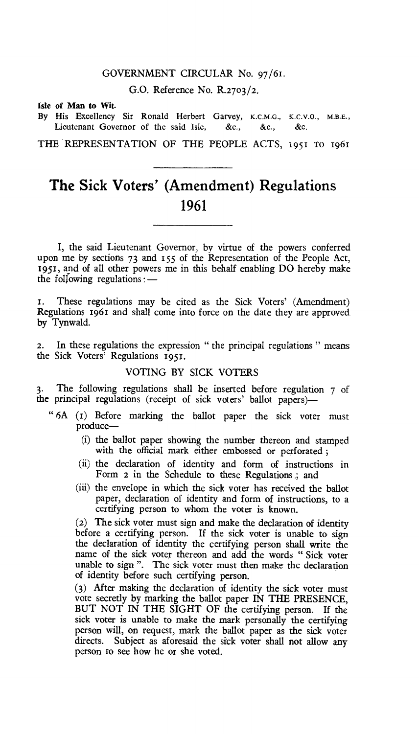#### GOVERNMENT CIRCULAR No. 97/61.

G.O. Reference No. R.2703/2.

Isle of Man to Wit.

By His Excellency Sir Ronald Herbert Garvey, K.C.M.G., K.C.V.O., M.B.E., Lieutenant Governor of the said Isle, &c., &c., &c.

THE REPRESENTATION OF THE PEOPLE ACTS, 1951 TO 1961

# **The Sick Voters' (Amendment) Regulations 1961**

I, the said Lieutenant Governor, by virtue of the powers conferred upon me by sections 73 and 155 of the Representation of the People Act, 1951, and of all other powers me in this behalf enabling DO hereby make the following regulations:—

1. These regulations may be cited as the Sick Voters' (Amendment) Regulations 1961 and shall come into force on the date they are approved. by Tynwald.

2. In these regulations the expression " the principal regulations " means the Sick Voters' Regulations 1951.

### VOTING BY SICK VOTERS

The following regulations shall be inserted before regulation 7 of the principal regulations (receipt of sick voters' ballot papers)-

- " 6A (I) Before marking the ballot paper the sick voter must produce—
	- (i) the ballot paper showing the number thereon and stamped with the official mark either embossed or perforated ;
	- (ii) the declaration of identity and form of instructions in Form 2 in the Schedule to these Regulations ; and
	- (iii) the envelope in which the sick voter has received the ballot paper, declaration of identity and form of instructions, to a certifying person to whom the voter is known.

(2) The sick voter must sign and make the declaration of identity before a certifying person. If the sick voter is unable to sign the declaration of identity the certifying person shall write the name of the sick voter thereon and add the words " Sick voter unable to sign ". The sick voter must then make the declaration of identity before such certifying person.

(3) After making the declaration of identity the sick voter must vote secretly by marking the ballot paper IN THE PRESENCE, BUT NOT IN THE SIGHT OF the certifying person. If the sick voter is unable to make the mark personally the certifying person will, on request, mark the ballot paper as the sick voter directs. Subject as aforesaid the sick voter shall not allow any person to see how he or she voted.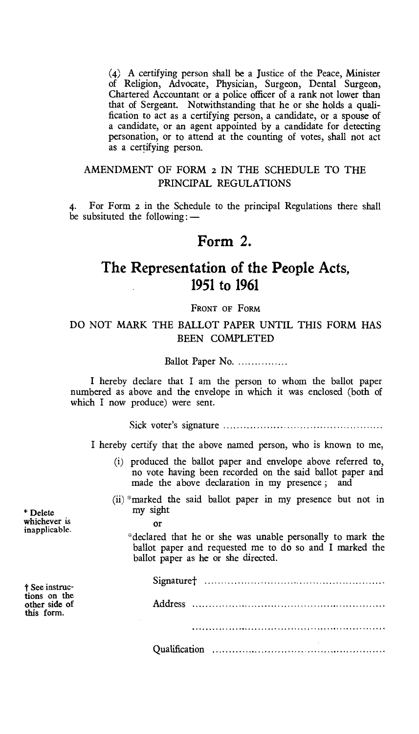(4) A certifying person shall be a Justice of the Peace, Minister of Religion, Advocate, Physician, Surgeon, Dental Surgeon, Chartered Accountant or a police officer of a rank not lower than that of Sergeant. Notwithstanding that he or she holds a qualification to act as a certifying person, a candidate, or a spouse of a candidate, or an agent appointed by a candidate for detecting personation, or to attend at the counting of votes, shall not act as a certifying person.

## AMENDMENT OF FORM **2** IN THE SCHEDULE TO THE PRINCIPAL REGULATIONS

4. For Form **2** in the Schedule to the principal Regulations there shall be subsituted the following: —

## **Form 2,**

## **The Representation of the People Acts, 1951 to 1961**

**FRONT OF FORM** 

## DO NOT MARK THE BALLOT PAPER UNTIL THIS FORM HAS BEEN COMPLETED

Ballot Paper No.

I hereby declare that I am the person to whom the ballot paper numbered as above and the envelope in which it was enclosed (both of which I now produce) were sent.

Sick voter's signature

I hereby certify that the above named person, who is known to me,

- (i) produced the ballot paper and envelope above referred to, no vote having been recorded on the said ballot paper and made the above declaration in my presence ; and
- (ii) \*marked the said ballot paper in my presence but not in my sight

\* Delete whichever is inapplicable.

**Or** 

\*declared that he or she was unable personally to mark the ballot paper and requested me to do so and I marked the ballot paper as he or she directed.

| † See instruc-<br>tions on the<br>other side of<br>this form. |  |
|---------------------------------------------------------------|--|
|                                                               |  |
|                                                               |  |
|                                                               |  |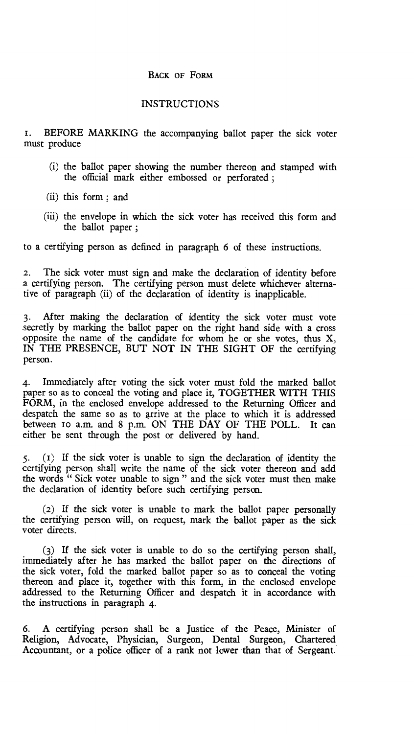### BACK OF FORM

#### INSTRUCTIONS

i. BEFORE MARKING the accompanying ballot paper the sick voter must produce

- (i) the ballot paper showing the number thereon and stamped with the official mark either embossed or perforated ;
- (ii) this form ; and
- (iii) the envelope in which the sick voter has received this form and the ballot paper ;

to a certifying person as defined in paragraph 6 of these instructions.

2. The sick voter must sign and make the declaration of identity before a certifying person. The certifying person must delete whichever alternative of paragraph (ii) of the declaration of identity is inapplicable.

3. After making the declaration of identity the sick voter must vote secretly by marking the ballot paper on the right hand side with a cross opposite the name of the candidate for whom he or she votes, thus X, IN THE PRESENCE, BUT NOT IN THE SIGHT OF the certifying person.

4. Immediately after voting the sick voter must fold the marked ballot paper so as to conceal the voting and place it, TOGETHER WITH THIS FORM, in the enclosed envelope addressed to the Returning Officer and despatch the same so as to arrive at the place to which it is addressed between io a.m. and 8 p.m. ON THE DAY OF THE POLL. It can either be sent through the post or delivered by hand.

5. (I) If the sick voter is unable to sign the declaration of identity the certifying person shall write the name of the sick voter thereon and add the words " Sick voter unable to sign " and the sick voter must then make the declaration of identity before such certifying person.

(2) If the sick voter is unable to mark the ballot paper personally the certifying person will, on request, mark the ballot paper as the sick voter directs.

(3) If the sick voter is unable to do so the certifying person shall, immediately after he has marked the ballot paper on the directions of the sick voter, fold the marked ballot paper so as to conceal the voting thereon and place it, together with this form, in the enclosed envelope addressed to the Returning Officer and despatch it in accordance with the instructions in paragraph 4.

6. A certifying person shall be a Justice of the Peace, Minister of Religion, Advocate, Physician, Surgeon, Dental Surgeon, Chartered Accountant, or a police officer of a rank not lower than that of Sergeant.